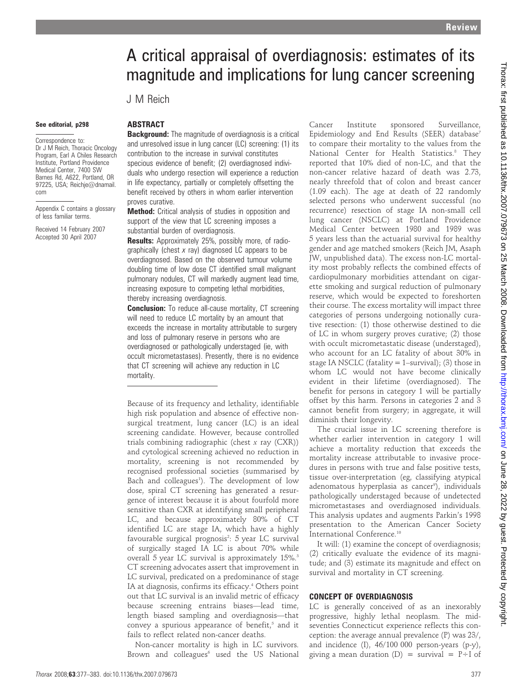# A critical appraisal of overdiagnosis: estimates of its magnitude and implications for lung cancer screening

J M Reich

#### See editorial, p298

Correspondence to: Dr J M Reich, Thoracic Oncology Program, Earl A Chiles Research Institute, Portland Providence Medical Center, 7400 SW Barnes Rd, A622, Portland, OR 97225, USA; Reichje@dnamail. com

Appendix C contains a glossary of less familiar terms.

Received 14 February 2007 Accepted 30 April 2007

# ABSTRACT

**Background:** The magnitude of overdiagnosis is a critical and unresolved issue in lung cancer (LC) screening: (1) its contribution to the increase in survival constitutes specious evidence of benefit; (2) overdiagnosed individuals who undergo resection will experience a reduction in life expectancy, partially or completely offsetting the benefit received by others in whom earlier intervention proves curative.

**Method:** Critical analysis of studies in opposition and support of the view that LC screening imposes a substantial burden of overdiagnosis.

**Results:** Approximately 25%, possibly more, of radiographically (chest  $x$  ray) diagnosed LC appears to be overdiagnosed. Based on the observed tumour volume doubling time of low dose CT identified small malignant pulmonary nodules, CT will markedly augment lead time, increasing exposure to competing lethal morbidities, thereby increasing overdiagnosis.

**Conclusion:** To reduce all-cause mortality, CT screening will need to reduce LC mortality by an amount that exceeds the increase in mortality attributable to surgery and loss of pulmonary reserve in persons who are overdiagnosed or pathologically understaged (ie, with occult micrometastases). Presently, there is no evidence that CT screening will achieve any reduction in LC mortality.

Because of its frequency and lethality, identifiable high risk population and absence of effective nonsurgical treatment, lung cancer (LC) is an ideal screening candidate. However, because controlled trials combining radiographic (chest  $x$  ray (CXR)) and cytological screening achieved no reduction in mortality, screening is not recommended by recognised professional societies (summarised by Bach and colleagues<sup>1</sup>). The development of low dose, spiral CT screening has generated a resurgence of interest because it is about fourfold more sensitive than CXR at identifying small peripheral LC, and because approximately 80% of CT identified LC are stage IA, which have a highly favourable surgical prognosis<sup>2</sup>: 5 year LC survival of surgically staged IA LC is about 70% while overall 5 year LC survival is approximately 15%.<sup>3</sup> CT screening advocates assert that improvement in LC survival, predicated on a predominance of stage IA at diagnosis, confirms its efficacy.<sup>4</sup> Others point out that LC survival is an invalid metric of efficacy because screening entrains biases—lead time, length biased sampling and overdiagnosis—that convey a spurious appearance of benefit, $5$  and it fails to reflect related non-cancer deaths.

Non-cancer mortality is high in LC survivors. Brown and colleagues<sup>6</sup> used the US National

Cancer Institute sponsored Surveillance, Epidemiology and End Results (SEER) database<sup>7</sup> to compare their mortality to the values from the National Center for Health Statistics.<sup>8</sup> They reported that 10% died of non-LC, and that the non-cancer relative hazard of death was 2.73, nearly threefold that of colon and breast cancer (1.09 each). The age at death of 22 randomly selected persons who underwent successful (no recurrence) resection of stage IA non-small cell lung cancer (NSCLC) at Portland Providence Medical Center between 1980 and 1989 was 5 years less than the actuarial survival for healthy gender and age matched smokers (Reich JM, Asaph JW, unpublished data). The excess non-LC mortality most probably reflects the combined effects of cardiopulmonary morbidities attendant on cigarette smoking and surgical reduction of pulmonary reserve, which would be expected to foreshorten their course. The excess mortality will impact three categories of persons undergoing notionally curative resection: (1) those otherwise destined to die of LC in whom surgery proves curative; (2) those with occult micrometastatic disease (understaged), who account for an LC fatality of about 30% in stage IA NSCLC (fatality  $= 1$ –survival); (3) those in whom LC would not have become clinically evident in their lifetime (overdiagnosed). The benefit for persons in category 1 will be partially offset by this harm. Persons in categories 2 and 3 cannot benefit from surgery; in aggregate, it will diminish their longevity.

The crucial issue in LC screening therefore is whether earlier intervention in category 1 will achieve a mortality reduction that exceeds the mortality increase attributable to invasive procedures in persons with true and false positive tests, tissue over-interpretation (eg, classifying atypical adenomatous hyperplasia as cancer<sup>9</sup>), individuals pathologically understaged because of undetected micrometastases and overdiagnosed individuals. This analysis updates and augments Parkin's 1998 presentation to the American Cancer Society International Conference.10

It will: (1) examine the concept of overdiagnosis; (2) critically evaluate the evidence of its magnitude; and (3) estimate its magnitude and effect on survival and mortality in CT screening.

#### CONCEPT OF OVERDIAGNOSIS

LC is generally conceived of as an inexorably progressive, highly lethal neoplasm. The midseventies Connecticut experience reflects this conception: the average annual prevalence (P) was 23/, and incidence (I), 46/100 000 person-years (p-y), giving a mean duration (D) = survival =  $P \div I$  of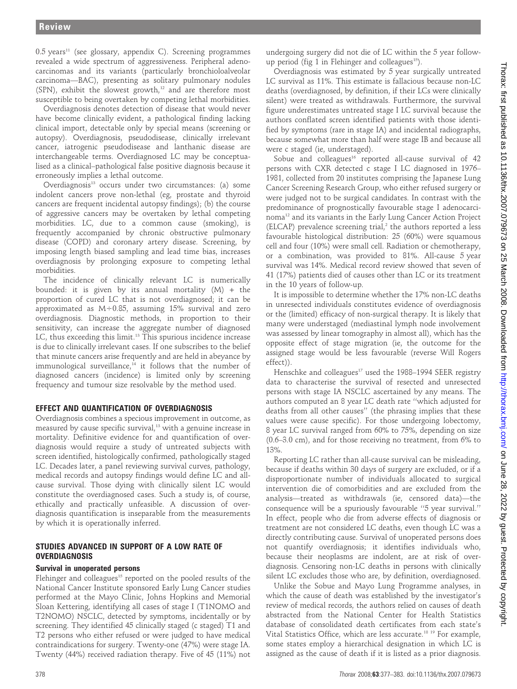$0.5$  years<sup>11</sup> (see glossary, appendix C). Screening programmes revealed a wide spectrum of aggressiveness. Peripheral adenocarcinomas and its variants (particularly bronchioloalveolar carcinoma—BAC), presenting as solitary pulmonary nodules (SPN), exhibit the slowest growth, $12$  and are therefore most susceptible to being overtaken by competing lethal morbidities.

Overdiagnosis denotes detection of disease that would never have become clinically evident, a pathological finding lacking clinical import, detectable only by special means (screening or autopsy). Overdiagnosis, pseudodisease, clinically irrelevant cancer, iatrogenic pseudodisease and lanthanic disease are interchangeable terms. Overdiagnosed LC may be conceptualised as a clinical–pathological false positive diagnosis because it erroneously implies a lethal outcome.

Overdiagnosis<sup>13</sup> occurs under two circumstances: (a) some indolent cancers prove non-lethal (eg, prostate and thyroid cancers are frequent incidental autopsy findings); (b) the course of aggressive cancers may be overtaken by lethal competing morbidities. LC, due to a common cause (smoking), is frequently accompanied by chronic obstructive pulmonary disease (COPD) and coronary artery disease. Screening, by imposing length biased sampling and lead time bias, increases overdiagnosis by prolonging exposure to competing lethal morbidities.

The incidence of clinically relevant LC is numerically bounded: it is given by its annual mortality  $(M) +$  the proportion of cured LC that is not overdiagnosed; it can be approximated as  $M \div 0.85$ , assuming 15% survival and zero overdiagnosis. Diagnostic methods, in proportion to their sensitivity, can increase the aggregate number of diagnosed LC, thus exceeding this limit.<sup>13</sup> This spurious incidence increase is due to clinically irrelevant cases. If one subscribes to the belief that minute cancers arise frequently and are held in abeyance by immunological surveillance, $14$  it follows that the number of diagnosed cancers (incidence) is limited only by screening frequency and tumour size resolvable by the method used.

# EFFECT AND QUANTIFICATION OF OVERDIAGNOSIS

Overdiagnosis combines a specious improvement in outcome, as measured by cause specific survival,<sup>13</sup> with a genuine increase in mortality. Definitive evidence for and quantification of overdiagnosis would require a study of untreated subjects with screen identified, histologically confirmed, pathologically staged LC. Decades later, a panel reviewing survival curves, pathology, medical records and autopsy findings would define LC and allcause survival. Those dying with clinically silent LC would constitute the overdiagnosed cases. Such a study is, of course, ethically and practically unfeasible. A discussion of overdiagnosis quantification is inseparable from the measurements by which it is operationally inferred.

# STUDIES ADVANCED IN SUPPORT OF A LOW RATE OF **OVERDIAGNOSIS**

# Survival in unoperated persons

Flehinger and colleagues<sup>15</sup> reported on the pooled results of the National Cancer Institute sponsored Early Lung Cancer studies performed at the Mayo Clinic, Johns Hopkins and Memorial Sloan Kettering, identifying all cases of stage I (T1NOMO and T2NOMO) NSCLC, detected by symptoms, incidentally or by screening. They identified 45 clinically staged (c staged) T1 and T2 persons who either refused or were judged to have medical contraindications for surgery. Twenty-one (47%) were stage IA. Twenty (44%) received radiation therapy. Five of 45 (11%) not undergoing surgery did not die of LC within the 5 year followup period (fig 1 in Flehinger and colleagues<sup>15</sup>).

Overdiagnosis was estimated by 5 year surgically untreated LC survival as 11%. This estimate is fallacious because non-LC deaths (overdiagnosed, by definition, if their LCs were clinically silent) were treated as withdrawals. Furthermore, the survival figure underestimates untreated stage I LC survival because the authors conflated screen identified patients with those identified by symptoms (rare in stage IA) and incidental radiographs, because somewhat more than half were stage IB and because all were c staged (ie, understaged).

Sobue and colleagues<sup>16</sup> reported all-cause survival of 42 persons with CXR detected c stage I LC diagnosed in 1976– 1981, collected from 20 institutes comprising the Japanese Lung Cancer Screening Research Group, who either refused surgery or were judged not to be surgical candidates. In contrast with the predominance of prognostically favourable stage I adenocarcinoma12 and its variants in the Early Lung Cancer Action Project  $(ELCAP)$  prevalence screening trial,<sup>2</sup> the authors reported a less favourable histological distribution: 25 (60%) were squamous cell and four (10%) were small cell. Radiation or chemotherapy, or a combination, was provided to 81%. All-cause 5 year survival was 14%. Medical record review showed that seven of 41 (17%) patients died of causes other than LC or its treatment in the 10 years of follow-up.

It is impossible to determine whether the 17% non-LC deaths in unresected individuals constitutes evidence of overdiagnosis or the (limited) efficacy of non-surgical therapy. It is likely that many were understaged (mediastinal lymph node involvement was assessed by linear tomography in almost all), which has the opposite effect of stage migration (ie, the outcome for the assigned stage would be less favourable (reverse Will Rogers effect)).

Henschke and colleagues<sup>17</sup> used the 1988–1994 SEER registry data to characterise the survival of resected and unresected persons with stage IA NSCLC ascertained by any means. The authors computed an 8 year LC death rate ''which adjusted for deaths from all other causes'' (the phrasing implies that these values were cause specific). For those undergoing lobectomy, 8 year LC survival ranged from 60% to 75%, depending on size (0.6–3.0 cm), and for those receiving no treatment, from 6% to 13%.

Reporting LC rather than all-cause survival can be misleading, because if deaths within 30 days of surgery are excluded, or if a disproportionate number of individuals allocated to surgical intervention die of comorbidities and are excluded from the analysis—treated as withdrawals (ie, censored data)—the consequence will be a spuriously favourable ''5 year survival.'' In effect, people who die from adverse effects of diagnosis or treatment are not considered LC deaths, even though LC was a directly contributing cause. Survival of unoperated persons does not quantify overdiagnosis; it identifies individuals who, because their neoplasms are indolent, are at risk of overdiagnosis. Censoring non-LC deaths in persons with clinically silent LC excludes those who are, by definition, overdiagnosed.

Unlike the Sobue and Mayo Lung Programme analyses, in which the cause of death was established by the investigator's review of medical records, the authors relied on causes of death abstracted from the National Center for Health Statistics database of consolidated death certificates from each state's Vital Statistics Office, which are less accurate.<sup>18 19</sup> For example, some states employ a hierarchical designation in which LC is assigned as the cause of death if it is listed as a prior diagnosis.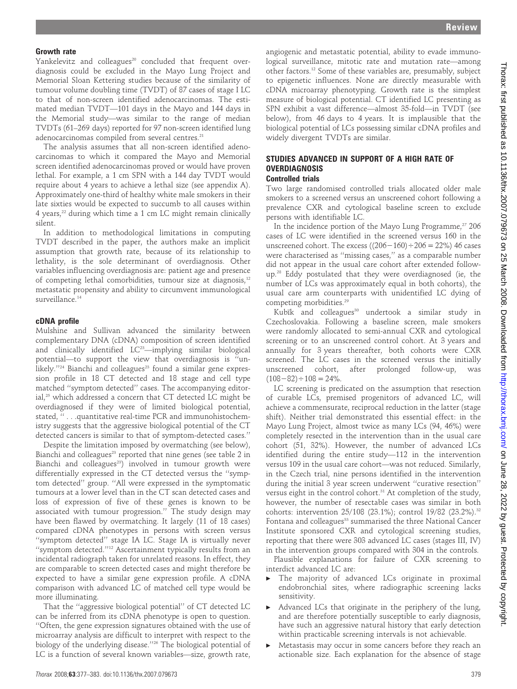#### Growth rate

Yankelevitz and colleagues<sup>20</sup> concluded that frequent overdiagnosis could be excluded in the Mayo Lung Project and Memorial Sloan Kettering studies because of the similarity of tumour volume doubling time (TVDT) of 87 cases of stage I LC to that of non-screen identified adenocarcinomas. The estimated median TVDT—101 days in the Mayo and 144 days in the Memorial study—was similar to the range of median TVDTs (61–269 days) reported for 97 non-screen identified lung adenocarcinomas compiled from several centres.<sup>21</sup>

The analysis assumes that all non-screen identified adenocarcinomas to which it compared the Mayo and Memorial screen identified adenocarcinomas proved or would have proven lethal. For example, a 1 cm SPN with a 144 day TVDT would require about 4 years to achieve a lethal size (see appendix A). Approximately one-third of healthy white male smokers in their late sixties would be expected to succumb to all causes within 4 years,<sup>22</sup> during which time a 1 cm LC might remain clinically silent.

In addition to methodological limitations in computing TVDT described in the paper, the authors make an implicit assumption that growth rate, because of its relationship to lethality, is the sole determinant of overdiagnosis. Other variables influencing overdiagnosis are: patient age and presence of competing lethal comorbidities, tumour size at diagnosis,<sup>12</sup> metastatic propensity and ability to circumvent immunological surveillance.<sup>14</sup>

#### cDNA profile

Mulshine and Sullivan advanced the similarity between complementary DNA (cDNA) composition of screen identified and clinically identified  $LC^{23}$ —implying similar biological potential—to support the view that overdiagnosis is ''unlikely."<sup>24</sup> Bianchi and colleagues<sup>23</sup> found a similar gene expression profile in 18 CT detected and 18 stage and cell type matched ''symptom detected'' cases. The accompanying editorial.<sup>25</sup> which addressed a concern that CT detected LC might be overdiagnosed if they were of limited biological potential, stated, '' . . .quantitative real-time PCR and immunohistochemistry suggests that the aggressive biological potential of the CT detected cancers is similar to that of symptom-detected cases.''

Despite the limitation imposed by overmatching (see below), Bianchi and colleagues<sup>23</sup> reported that nine genes (see table 2 in Bianchi and colleagues<sup>23</sup>) involved in tumour growth were differentially expressed in the CT detected versus the ''symptom detected'' group. ''All were expressed in the symptomatic tumours at a lower level than in the CT scan detected cases and loss of expression of five of these genes is known to be associated with tumour progression.'' The study design may have been flawed by overmatching. It largely (11 of 18 cases) compared cDNA phenotypes in persons with screen versus ''symptom detected'' stage IA LC. Stage IA is virtually never ''symptom detected.''12 Ascertainment typically results from an incidental radiograph taken for unrelated reasons. In effect, they are comparable to screen detected cases and might therefore be expected to have a similar gene expression profile. A cDNA comparison with advanced LC of matched cell type would be more illuminating.

That the ''aggressive biological potential'' of CT detected LC can be inferred from its cDNA phenotype is open to question. ''Often, the gene expression signatures obtained with the use of microarray analysis are difficult to interpret with respect to the biology of the underlying disease.''26 The biological potential of LC is a function of several known variables—size, growth rate,

angiogenic and metastatic potential, ability to evade immunological surveillance, mitotic rate and mutation rate—among other factors.12 Some of these variables are, presumably, subject to epigenetic influences. None are directly measurable with cDNA microarray phenotyping. Growth rate is the simplest measure of biological potential. CT identified LC presenting as SPN exhibit a vast difference—almost 35-fold—in TVDT (see below), from 46 days to 4 years. It is implausible that the biological potential of LCs possessing similar cDNA profiles and widely divergent TVDTs are similar.

# STUDIES ADVANCED IN SUPPORT OF A HIGH RATE OF **OVERDIAGNOSIS**

# Controlled trials

Two large randomised controlled trials allocated older male smokers to a screened versus an unscreened cohort following a prevalence CXR and cytological baseline screen to exclude persons with identifiable LC.

In the incidence portion of the Mayo Lung Programme,<sup>27</sup> 206 cases of LC were identified in the screened versus 160 in the unscreened cohort. The excess  $((206-160) \div 206 = 22\%)$  46 cases were characterised as ''missing cases,'' as a comparable number did not appear in the usual care cohort after extended followup.28 Eddy postulated that they were overdiagnosed (ie, the number of LCs was approximately equal in both cohorts), the usual care arm counterparts with unidentified LC dying of competing morbidities.<sup>29</sup>

Kubik and colleagues<sup>30</sup> undertook a similar study in Czechoslovakia. Following a baseline screen, male smokers were randomly allocated to semi-annual CXR and cytological screening or to an unscreened control cohort. At 3 years and annually for 3 years thereafter, both cohorts were CXR screened. The LC cases in the screened versus the initially unscreened cohort, after prolonged follow-up, was  $(108-82) \div 108 = 24\%$ .

LC screening is predicated on the assumption that resection of curable LCs, premised progenitors of advanced LC, will achieve a commensurate, reciprocal reduction in the latter (stage shift). Neither trial demonstrated this essential effect: in the Mayo Lung Project, almost twice as many LCs (94, 46%) were completely resected in the intervention than in the usual care cohort (51, 32%). However, the number of advanced LCs identified during the entire study—112 in the intervention versus 109 in the usual care cohort—was not reduced. Similarly, in the Czech trial, nine persons identified in the intervention during the initial 3 year screen underwent ''curative resection'' versus eight in the control cohort.<sup>31</sup> At completion of the study, however, the number of resectable cases was similar in both cohorts: intervention 25/108 (23.1%); control 19/82 (23.2%).<sup>32</sup> Fontana and colleagues<sup>33</sup> summarised the three National Cancer Institute sponsored CXR and cytological screening studies, reporting that there were 303 advanced LC cases (stages III, IV) in the intervention groups compared with 304 in the controls.

Plausible explanations for failure of CXR screening to interdict advanced LC are:

- The majority of advanced LCs originate in proximal endobronchial sites, where radiographic screening lacks sensitivity.
- $\blacktriangleright$  Advanced LCs that originate in the periphery of the lung, and are therefore potentially susceptible to early diagnosis, have such an aggressive natural history that early detection within practicable screening intervals is not achievable.
- Metastasis may occur in some cancers before they reach an actionable size. Each explanation for the absence of stage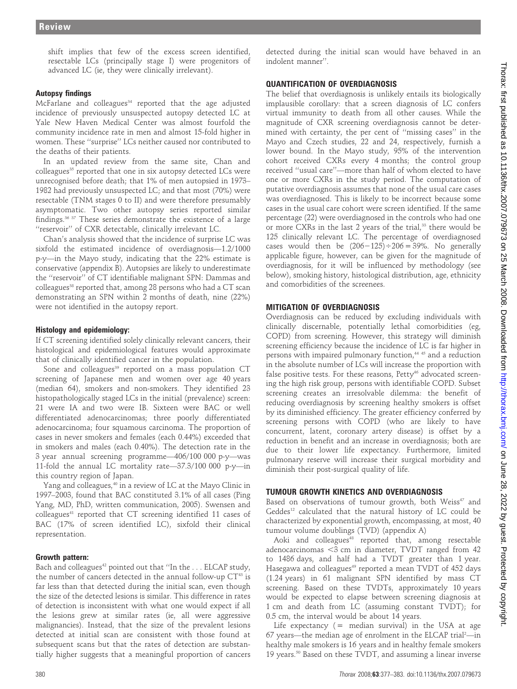shift implies that few of the excess screen identified, resectable LCs (principally stage I) were progenitors of advanced LC (ie, they were clinically irrelevant).

# Autopsy findings

McFarlane and colleagues<sup>34</sup> reported that the age adjusted incidence of previously unsuspected autopsy detected LC at Yale New Haven Medical Center was almost fourfold the community incidence rate in men and almost 15-fold higher in women. These ''surprise'' LCs neither caused nor contributed to the deaths of their patients.

In an updated review from the same site, Chan and colleagues<sup>35</sup> reported that one in six autopsy detected LCs were unrecognised before death; that 1% of men autopsied in 1973– 1982 had previously unsuspected LC; and that most (70%) were resectable (TNM stages 0 to II) and were therefore presumably asymptomatic. Two other autopsy series reported similar findings.36 37 These series demonstrate the existence of a large ''reservoir'' of CXR detectable, clinically irrelevant LC.

Chan's analysis showed that the incidence of surprise LC was sixfold the estimated incidence of overdiagnosis—1.2/1000 p-y—in the Mayo study, indicating that the 22% estimate is conservative (appendix B). Autopsies are likely to underestimate the ''reservoir'' of CT identifiable malignant SPN: Dammas and colleagues<sup>38</sup> reported that, among 28 persons who had a CT scan demonstrating an SPN within 2 months of death, nine (22%) were not identified in the autopsy report.

# Histology and epidemiology:

If CT screening identified solely clinically relevant cancers, their histological and epidemiological features would approximate that of clinically identified cancer in the population.

Sone and colleagues<sup>39</sup> reported on a mass population  $CT$ screening of Japanese men and women over age 40 years (median 64), smokers and non-smokers. They identified 23 histopathologically staged LCs in the initial (prevalence) screen: 21 were IA and two were IB. Sixteen were BAC or well differentiated adenocarcinomas; three poorly differentiated adenocarcinoma; four squamous carcinoma. The proportion of cases in never smokers and females (each 0.44%) exceeded that in smokers and males (each 0.40%). The detection rate in the 3 year annual screening programme—406/100 000 p-y—was 11-fold the annual LC mortality rate—37.3/100 000 p-y—in this country region of Japan.

Yang and colleagues,<sup>40</sup> in a review of LC at the Mayo Clinic in 1997–2003, found that BAC constituted 3.1% of all cases (Ping Yang, MD, PhD, written communication, 2005). Swensen and colleagues<sup>41</sup> reported that CT screening identified 11 cases of BAC (17% of screen identified LC), sixfold their clinical representation.

# Growth pattern:

Bach and colleagues<sup>42</sup> pointed out that "In the . . . ELCAP study, the number of cancers detected in the annual follow-up  $CT^{43}$  is far less than that detected during the initial scan, even though the size of the detected lesions is similar. This difference in rates of detection is inconsistent with what one would expect if all the lesions grew at similar rates (ie, all were aggressive malignancies). Instead, that the size of the prevalent lesions detected at initial scan are consistent with those found at subsequent scans but that the rates of detection are substantially higher suggests that a meaningful proportion of cancers

detected during the initial scan would have behaved in an indolent manner''.

# QUANTIFICATION OF OVERDIAGNOSIS

The belief that overdiagnosis is unlikely entails its biologically implausible corollary: that a screen diagnosis of LC confers virtual immunity to death from all other causes. While the magnitude of CXR screening overdiagnosis cannot be determined with certainty, the per cent of ''missing cases'' in the Mayo and Czech studies, 22 and 24, respectively, furnish a lower bound. In the Mayo study, 95% of the intervention cohort received CXRs every 4 months; the control group received ''usual care''—more than half of whom elected to have one or more CXRs in the study period. The computation of putative overdiagnosis assumes that none of the usual care cases was overdiagnosed. This is likely to be incorrect because some cases in the usual care cohort were screen identified. If the same percentage (22) were overdiagnosed in the controls who had one or more CXRs in the last 2 years of the trial,<sup>33</sup> there would be 125 clinically relevant LC. The percentage of overdiagnosed cases would then be  $(206-125) \div 206 = 39\%$ . No generally applicable figure, however, can be given for the magnitude of overdiagnosis, for it will be influenced by methodology (see below), smoking history, histological distribution, age, ethnicity and comorbidities of the screenees.

# MITIGATION OF OVERDIAGNOSIS

Overdiagnosis can be reduced by excluding individuals with clinically discernable, potentially lethal comorbidities (eg, COPD) from screening. However, this strategy will diminish screening efficiency because the incidence of LC is far higher in persons with impaired pulmonary function,<sup>44 45</sup> and a reduction in the absolute number of LCs will increase the proportion with false positive tests. For these reasons,  $P$ etty<sup>46</sup> advocated screening the high risk group, persons with identifiable COPD. Subset screening creates an irresolvable dilemma: the benefit of reducing overdiagnosis by screening healthy smokers is offset by its diminished efficiency. The greater efficiency conferred by screening persons with COPD (who are likely to have concurrent, latent, coronary artery disease) is offset by a reduction in benefit and an increase in overdiagnosis; both are due to their lower life expectancy. Furthermore, limited pulmonary reserve will increase their surgical morbidity and diminish their post-surgical quality of life.

# TUMOUR GROWTH KINETICS AND OVERDIAGNOSIS

Based on observations of tumour growth, both Weiss<sup>47</sup> and Geddes<sup>12</sup> calculated that the natural history of LC could be characterized by exponential growth, encompassing, at most, 40 tumour volume doublings (TVD) (appendix A)

Aoki and colleagues<sup>48</sup> reported that, among resectable adenocarcinomas  $<$ 3 cm in diameter, TVDT ranged from 42 to 1486 days, and half had a TVDT greater than 1 year. Hasegawa and colleagues<sup>49</sup> reported a mean TVDT of 452 days (1.24 years) in 61 malignant SPN identified by mass CT screening. Based on these TVDTs, approximately 10 years would be expected to elapse between screening diagnosis at 1 cm and death from LC (assuming constant TVDT); for 0.5 cm, the interval would be about 14 years.

Life expectancy  $($  = median survival) in the USA at age 67 years—the median age of enrolment in the ELCAP trial<sup>2</sup>—in healthy male smokers is 16 years and in healthy female smokers 19 years.<sup>50</sup> Based on these TVDT, and assuming a linear inverse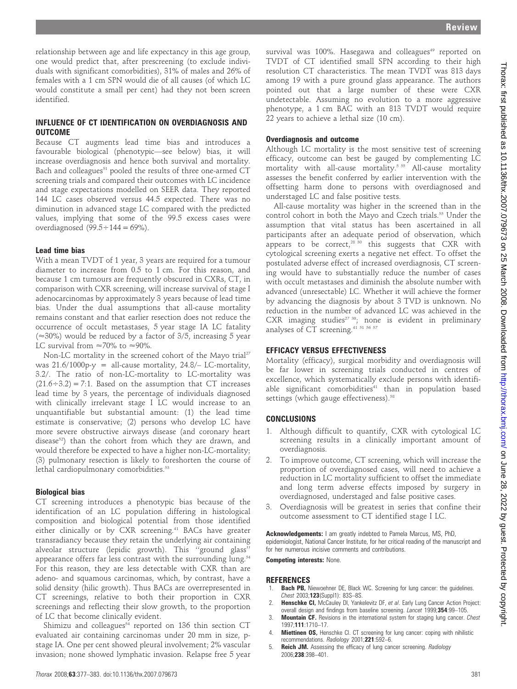relationship between age and life expectancy in this age group, one would predict that, after prescreening (to exclude individuals with significant comorbidities), 31% of males and 26% of females with a 1 cm SPN would die of all causes (of which LC would constitute a small per cent) had they not been screen identified.

# INFLUENCE OF CT IDENTIFICATION ON OVERDIAGNOSIS AND **OUTCOME**

Because CT augments lead time bias and introduces a favourable biological (phenotypic—see below) bias, it will increase overdiagnosis and hence both survival and mortality. Bach and colleagues<sup>51</sup> pooled the results of three one-armed CT screening trials and compared their outcomes with LC incidence and stage expectations modelled on SEER data. They reported 144 LC cases observed versus 44.5 expected. There was no diminution in advanced stage LC compared with the predicted values, implying that some of the 99.5 excess cases were overdiagnosed  $(99.5 \div 144 = 69\%)$ .

#### Lead time bias

With a mean TVDT of 1 year, 3 years are required for a tumour diameter to increase from 0.5 to 1 cm. For this reason, and because 1 cm tumours are frequently obscured in CXRs, CT, in comparison with CXR screening, will increase survival of stage I adenocarcinomas by approximately 3 years because of lead time bias. Under the dual assumptions that all-cause mortality remains constant and that earlier resection does not reduce the occurrence of occult metastases, 5 year stage IA LC fatality  $(\approx 30\%)$  would be reduced by a factor of 3/5, increasing 5 year LC survival from  $\approx 70\%$  to  $\approx 90\%$ .

Non-LC mortality in the screened cohort of the Mayo trial<sup>27</sup> was  $21.6/1000$ p-y = all-cause mortality,  $24.8/-$  LC-mortality, 3.2/. The ratio of non-LC-mortality to LC-mortality was  $(21.6 \div 3.2) = 7:1$ . Based on the assumption that CT increases lead time by 3 years, the percentage of individuals diagnosed with clinically irrelevant stage I LC would increase to an unquantifiable but substantial amount: (1) the lead time estimate is conservative; (2) persons who develop LC have more severe obstructive airways disease (and coronary heart disease<sup>52</sup>) than the cohort from which they are drawn, and would therefore be expected to have a higher non-LC-mortality; (3) pulmonary resection is likely to foreshorten the course of lethal cardiopulmonary comorbidities.<sup>53</sup>

#### Biological bias

CT screening introduces a phenotypic bias because of the identification of an LC population differing in histological composition and biological potential from those identified either clinically or by CXR screening.<sup>41</sup> BACs have greater transradiancy because they retain the underlying air containing alveolar structure (lepidic growth). This ''ground glass'' appearance offers far less contrast with the surrounding lung.<sup>54</sup> For this reason, they are less detectable with CXR than are adeno- and squamous carcinomas, which, by contrast, have a solid density (hilic growth). Thus BACs are overrepresented in CT screenings, relative to both their proportion in CXR screenings and reflecting their slow growth, to the proportion of LC that become clinically evident.

Shimizu and colleagues $54$  reported on 136 thin section CT evaluated air containing carcinomas under 20 mm in size, pstage IA. One per cent showed pleural involvement; 2% vascular invasion; none showed lymphatic invasion. Relapse free 5 year survival was 100%. Hasegawa and colleagues<sup>49</sup> reported on TVDT of CT identified small SPN according to their high resolution CT characteristics. The mean TVDT was 813 days among 19 with a pure ground glass appearance. The authors pointed out that a large number of these were CXR undetectable. Assuming no evolution to a more aggressive phenotype, a 1 cm BAC with an 813 TVDT would require 22 years to achieve a lethal size (10 cm).

#### Overdiagnosis and outcome

Although LC mortality is the most sensitive test of screening efficacy, outcome can best be gauged by complementing LC mortality with all-cause mortality.<sup>5 55</sup> All-cause mortality assesses the benefit conferred by earlier intervention with the offsetting harm done to persons with overdiagnosed and understaged LC and false positive tests.

All-cause mortality was higher in the screened than in the control cohort in both the Mayo and Czech trials.<sup>55</sup> Under the assumption that vital status has been ascertained in all participants after an adequate period of observation, which appears to be correct, $2830$  this suggests that CXR with cytological screening exerts a negative net effect. To offset the postulated adverse effect of increased overdiagnosis, CT screening would have to substantially reduce the number of cases with occult metastases and diminish the absolute number with advanced (unresectable) LC. Whether it will achieve the former by advancing the diagnosis by about 3 TVD is unknown. No reduction in the number of advanced LC was achieved in the CXR imaging studies<sup>27 30</sup>; none is evident in preliminary analyses of CT screening.<sup>41 51 56 57</sup>

#### EFFICACY VERSUS EFFECTIVENESS

Mortality (efficacy), surgical morbidity and overdiagnosis will be far lower in screening trials conducted in centres of excellence, which systematically exclude persons with identifiable significant comorbidities $41$  than in population based settings (which gauge effectiveness).<sup>58</sup>

#### CONCLUSIONS

- 1. Although difficult to quantify, CXR with cytological LC screening results in a clinically important amount of overdiagnosis.
- 2. To improve outcome, CT screening, which will increase the proportion of overdiagnosed cases, will need to achieve a reduction in LC mortality sufficient to offset the immediate and long term adverse effects imposed by surgery in overdiagnosed, understaged and false positive cases.
- 3. Overdiagnosis will be greatest in series that confine their outcome assessment to CT identified stage I LC.

Acknowledgements: I am greatly indebted to Pamela Marcus, MS, PhD, epidemiologist, National Cancer Institute, for her critical reading of the manuscript and for her numerous incisive comments and contributions.

Competing interests: None.

#### **REFERENCES**

- Bach PB, Niewoehner DE, Black WC. Screening for lung cancer: the guidelines. Chest 2003;123(Suppl1): 83S–8S.
- 2. Henschke CI, McCauley DI, Yankelevitz DF, et al. Early Lung Cancer Action Project: overall design and findings from baseline screening. Lancet 1999;354:99-105.
- **Mountain CF.** Revisions in the international system for staging lung cancer. Chest 1997;111:1710–17.
- 4. Miettinen OS, Henschke CI. CT screening for lung cancer: coping with nihilistic recommendations. Radiology 2001;221:592-6.
- 5. Reich JM. Assessing the efficacy of lung cancer screening. Radiology 2006;238:398–401.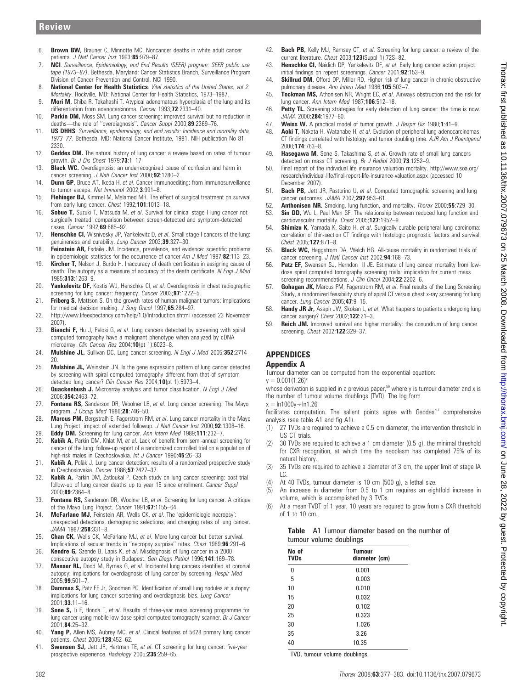# **Review**

- 6. Brown BW, Brauner C, Minnotte MC. Noncancer deaths in white adult cancer patients. J Natl Cancer Inst 1993;85:979-87.
- 7. **NCI.** Surveillance, Epidemiology, and End Results (SEER) program: SEER public use tape (1973–87). Bethesda, Maryland: Cancer Statistics Branch, Surveillance Program Division of Cancer Prevention and Control, NCI 1990.
- 8. National Center for Health Statistics. Vital statistics of the United States, vol 2. Mortality. Rockville, MD: National Center for Health Statistics, 1973–1987.
- 9. Mori M, Chiba R, Takahashi T. Atypical adenomatous hyperplasia of the lung and its differentiation from adenocarcinoma. Cancer 1993;72:2331-40.
- 10. **Parkin DM,** Moss SM. Lung cancer screening: improved survival but no reduction in deaths—the role of "overdiagnosis". Cancer Suppl 2000;89:2369-76.
- 11. **US DHHS**. Surveillance, epidemiology, and end results: Incidence and mortality data, 1973–77. Bethesda, MD: National Cancer Institute, 1981, NIH publication No 81- 2330.
- 12. Geddes DM. The natural history of lung cancer: a review based on rates of tumour growth. Br J Dis Chest  $1979:73:1-17$
- 13. Black WC. Overdiagnosis: an underrecognized cause of confusion and harm in cancer screening. J Natl Cancer Inst 2000;92:1280-2.
- 14. **Dunn GP,** Bruce AT, Ikeda H, et al. Cancer immunoediting: from immunosurveillance to tumor escape. Nat Immunol 2002;3:991-8.
- 15. Flehinger BJ, Kimmel M, Melamed MR. The effect of surgical treatment on survival from early lung cancer. Chest 1992;101:1013–18.
- 16. Sobue T, Suzuki T, Matsuda M, et al. Survival for clinical stage I lung cancer not surgically treated: comparison between screen-detected and symptom-detected cases. Cancer 1992;69:685–92.
- 17. Henschke CI, Wisnivesky JP, Yankelevitz D, et al. Small stage I cancers of the lung: genuineness and curability. Lung Cancer 2003;39:327-30.
- 18. Feinstein AR, Esdaile JM. Incidence, prevalence, and evidence: scientific problems in epidemiologic statistics for the occurrence of cancer  $Am$  J Med 1987;82:113–23.
- 19. **Kircher T,** Nelson J, Burdo H. Inaccuracy of death certificates in assigning cause of death. The autopsy as a measure of accuracy of the death certificate. N Engl J Med 1985;313:1263–9.
- 20. Yankelevitz DF, Kostis WJ, Henschke CI, et al. Overdiagnosis in chest radiographic screening for lung cancer: frequency. Cancer 2003;97:1272-5.
- 21. Friberg S, Mattson S. On the growth rates of human malignant tumors: implications for medical decision making. J Surg Oncol 1997;65:284-97.
- 22. http://www.lifeexpectancy.com/help/1.0/Introduction.shtml (accessed 23 November 2007).
- 23. Bianchi F, Hu J, Pelosi G, et al. Lung cancers detected by screening with spiral computed tomography have a malignant phenotype when analyzed by cDNA microarray. Clin Cancer Res 2004;10(pt 1):6023-8.
- 24. Mulshine JL, Sullivan DC. Lung cancer screening. N Engl J Med 2005;352:2714-20.
- 25. Mulshine JL, Weinstein JN. Is the gene expression pattern of lung cancer detected by screening with spiral computed tomography different from that of symptomdetected lung cancer? Clin Cancer Res 2004;10(pt 1):5973-4.
- 26. **Quackenbush J.** Microarray analysis and tumor classification. N Engl J Med 2006;354:2463–72.
- 27. Fontana RS, Sanderson DR, Woolner LB, et al. Lung cancer screening: The Mayo program. J Occup Med 1986;28:746–50.
- 28. **Marcus PM,** Bergstralh E, Fagerstrom RM, et al. Lung cancer mortality in the Mayo Lung Project: impact of extended followup. J Natl Cancer Inst 2000;92:1308-16.
- 29. **Eddy DM.** Screening for lung cancer. Ann Intern Med 1989;111:232-7.<br>30. **Kubik A.** Parkin DM. Khlat M. et al. Lack of benefit from semi-annual so
- Kubik A, Parkin DM, Khlat M, et al. Lack of benefit from semi-annual screening for cancer of the lung: follow-up report of a randomized controlled trial on a population of high-risk males in Czechoslovakia. Int J Cancer 1990;45:26-33
- 31. Kubik A, Poläk J. Lung cancer detection: results of a randomized prospective study in Czechoslovakia. Cancer 1986;57:2427–37.
- 32. Kubik A, Parkin DM, Zatloukal P. Czech study on lung cancer screening: post-trial follow-up of lung cancer deaths up to year 15 since enrollment. Cancer Suppl 2000;89:2364–8.
- 33. Fontana RS, Sanderson DR, Woolner LB, et al. Screening for lung cancer. A critique of the Mayo Lung Project. Cancer 1991;67:1155-64.
- 34. McFarlane MJ, Feinstein AR, Wells CK, et al. The 'epidemiologic necropsy': unexpected detections, demographic selections, and changing rates of lung cancer. JAMA 1987;258:331–8.
- 35. Chan CK, Wells CK, McFarlane MJ, et al. More lung cancer but better survival. Implications of secular trends in ''necropsy surprise'' rates. Chest 1989;96:291–6.
- 36. **Kendre G,** Szende B, Lapis K, et al. Misdiagnosis of lung cancer in a 2000 consecutive autopsy study in Budapest. Gen Diagn Pathol 1996;141:169–78.
- 37. Manser RL, Dodd M, Byrnes G, et al. Incidental lung cancers identified at coronial autopsy: implications for overdiagnosis of lung cancer by screening. Respir Med 2005;99:501–7.
- 38. **Dammas S, Patz EF Jr, Goodman PC. Identification of small lung nodules at autopsy:** implications for lung cancer screening and overdiagnosis bias. Lung Cancer 2001;33:11–16.
- 39. Sone S, Li F, Honda T, et al. Results of three-year mass screening programme for lung cancer using mobile low-dose spiral computed tomography scanner. Br J Cancer 2001;84:25–32.
- 40. Yang P, Allen MS, Aubrey MC, et al. Clinical features of 5628 primary lung cancer patients. Chest 2005;128:452–62.
- 41. **Swensen SJ,** Jett JR, Hartman TE, et al. CT screening for lung cancer: five-year prospective experience. Radiology 2005;235:259-65.
- 42. **Bach PB,** Kelly MJ, Ramsey CT, et al. Screening for lung cancer: a review of the current literature. Chest 2003;123(Suppl 1):72S–82.
- 43. **Henschke CI,** Naidich DP, Yankelevitz DF, et al. Early lung cancer action project: initial findings on repeat screenings. Cancer 2001;92:153–9.
- 44. Skillrud DM, Offord DP, Miller RD. Higher risk of lung cancer in chronic obstructive pulmonary disease. Ann Intern Med 1986;105:503-7.
- 45. Tockman MS, Athonisen NR, Wright EC, et al. Airways obstruction and the risk for lung cancer. Ann Intern Med 1987;106:512–18.
- 46. Petty TL. Screening strategies for early detection of lung cancer: the time is now. JAMA 2000;284:1977–80.
- 47. Weiss W. A practical model of tumor growth. J Respir Dis 1980;1:41-9.
- 48. **Aoki T,** Nakata H, Watanabe H, et al. Evolution of peripheral lung adenocarcinomas: CT findings correlated with histology and tumor doubling time. AJR Am J Roentgenol 2000;174:763–8.
- 49. **Hasegawa M,** Sone S, Takashima S, et al. Growth rate of small lung cancers detected on mass CT screening. Br J Radiol 2000;73:1252–9.
- 50. Final report of the individual life insurance valuation mortality. http://www.soa.org/ research/individual-life/final-report-life-insurance-valuation.aspx (accessed 10 December 2007).
- 51. **Bach PB,** Jett JR, Pastorino U, et al. Computed tomographic screening and lung cancer outcomes. JAMA 2007;297:953–61.
- 52. Anthonisen NR. Smoking, lung function, and mortality. Thorax 2000;55:729-30.
- 53. **Sin DD,** Wu L, Paul Man SF. The relationship between reduced lung function and cardiovascular mortality. Chest 2005;127:1952-9.
- 54. Shimizu K, Yamada K, Saito H, et al. Surgically curable peripheral lung carcinoma: correlation of thin-section CT findings with histologic prognostic factors and survival. Chest 2005;127:871–8.
- 55. Black WC, Haggstrom DA, Welch HG. All-cause mortality in randomized trials of cancer screening. J Natl Cancer Inst 2002;94:168-73.
- 56. Patz EF, Swensen SJ, Herndon II JE. Estimate of lung cancer mortality from lowdose spiral computed tomography screening trials: implication for current mass screening recommendations. J Clin Oncol 2004;22:2202-6.
- 57. Gohagan JK, Marcus PM, Fagerstrom RM, et al. Final results of the Lung Screening Study, a randomized feasibility study of spiral CT versus chest x-ray screening for lung cancer. Lung Cancer 2005;47:9–15.
- 58. **Handy JR Jr,** Asaph JW, Skokan L, et al. What happens to patients undergoing lung cancer surgery? *Chest* 2002:122:21-3.
- 59. Reich JM. Improved survival and higher mortality: the conundrum of lung cancer screening. Chest 2002;122:329–37.

# APPENDICES

#### Appendix A

Tumour diameter can be computed from the exponential equation:  $y = 0.001(1.26)^{y}$ 

whose derivation is supplied in a previous paper,<sup>59</sup> where y is tumour diameter and x is the number of tumour volume doublings (TVD). The log form

 $x = ln1000y \div ln1.26$ facilitates computation. The salient points agree with Geddes<sup>'12</sup> comprehensive analysis (see table A1 and fig A1).

- (1) 27 TVDs are required to achieve a 0.5 cm diameter, the intervention threshold in US CT trials.
- (2) 30 TVDs are required to achieve a 1 cm diameter (0.5 g), the minimal threshold for CXR recognition, at which time the neoplasm has completed 75% of its natural history.
- (3) 35 TVDs are required to achieve a diameter of 3 cm, the upper limit of stage IA  $\overline{C}$
- (4) At 40 TVDs, tumour diameter is 10 cm (500 g), a lethal size.
- (5) An increase in diameter from 0.5 to 1 cm requires an eightfold increase in volume, which is accomplished by 3 TVDs.
- (6) At a mean TVDT of 1 year, 10 years are required to grow from a CXR threshold of 1 to 10 cm.

#### Table A1 Tumour diameter based on the number of tumour volume doublings

| No of<br><b>TVDs</b> | <b>Tumour</b><br>diameter (cm) |
|----------------------|--------------------------------|
| 0                    | 0.001                          |
| 5                    | 0.003                          |
| 10                   | 0.010                          |
| 15                   | 0.032                          |
| 20                   | 0.102                          |
| 25                   | 0.323                          |
| 30                   | 1.026                          |
| 35                   | 3.26                           |
| 40                   | 10.35                          |

TVD, tumour volume doublings.